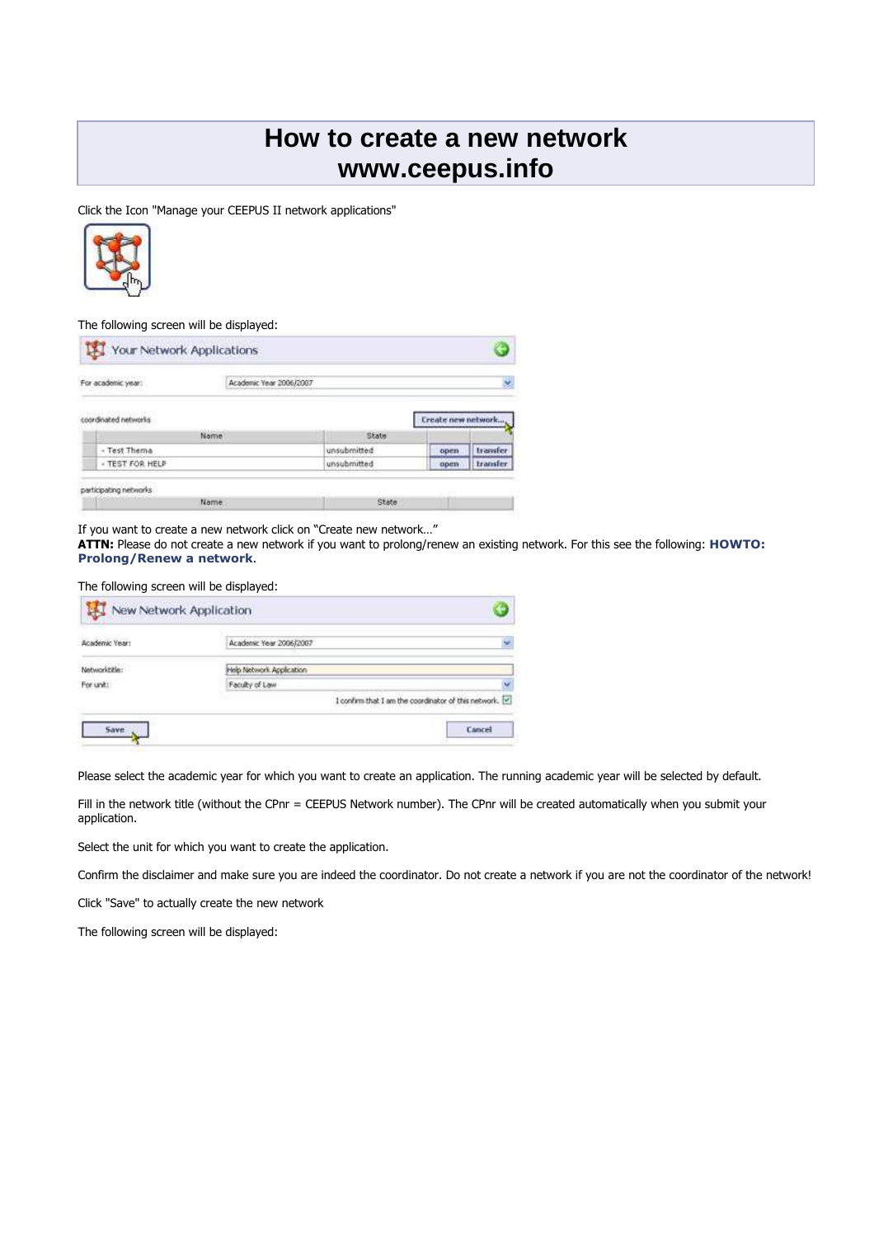# **How to create a new network www.ceepus.info**

Click the Icon "Manage your CEEPUS II network applications"



The following screen will be displayed:

| For academic year:                          | Academic Year 2006/2007 |             |                    | v        |
|---------------------------------------------|-------------------------|-------------|--------------------|----------|
| 나이의 정말수 있는 이 이 일 같은<br>coordinated networks |                         |             | Create new network |          |
|                                             | Name                    | State       |                    |          |
| - Test Thema                                |                         | unsubmitted | open               | transfer |
|                                             |                         | unsubmitted | open               | transfer |

If you want to create a new network click on "Create new network…"

**ATTN:** Please do not create a new network if you want to prolong/renew an existing network. For this see the following: **HOWTO: Prolong/Renew a network**.

The following screen will be displayed:

| Academic Vear: | Academic Year 2006/2007  | ç.                                                   |
|----------------|--------------------------|------------------------------------------------------|
| Networktitle:  | Help Network Application |                                                      |
| For unit:      | Faculty of Law           |                                                      |
|                |                          | I confirm that I am the coordinator of this network. |

Please select the academic year for which you want to create an application. The running academic year will be selected by default.

Fill in the network title (without the CPnr = CEEPUS Network number). The CPnr will be created automatically when you submit your application.

Select the unit for which you want to create the application.

Confirm the disclaimer and make sure you are indeed the coordinator. Do not create a network if you are not the coordinator of the network!

Click "Save" to actually create the new network

The following screen will be displayed: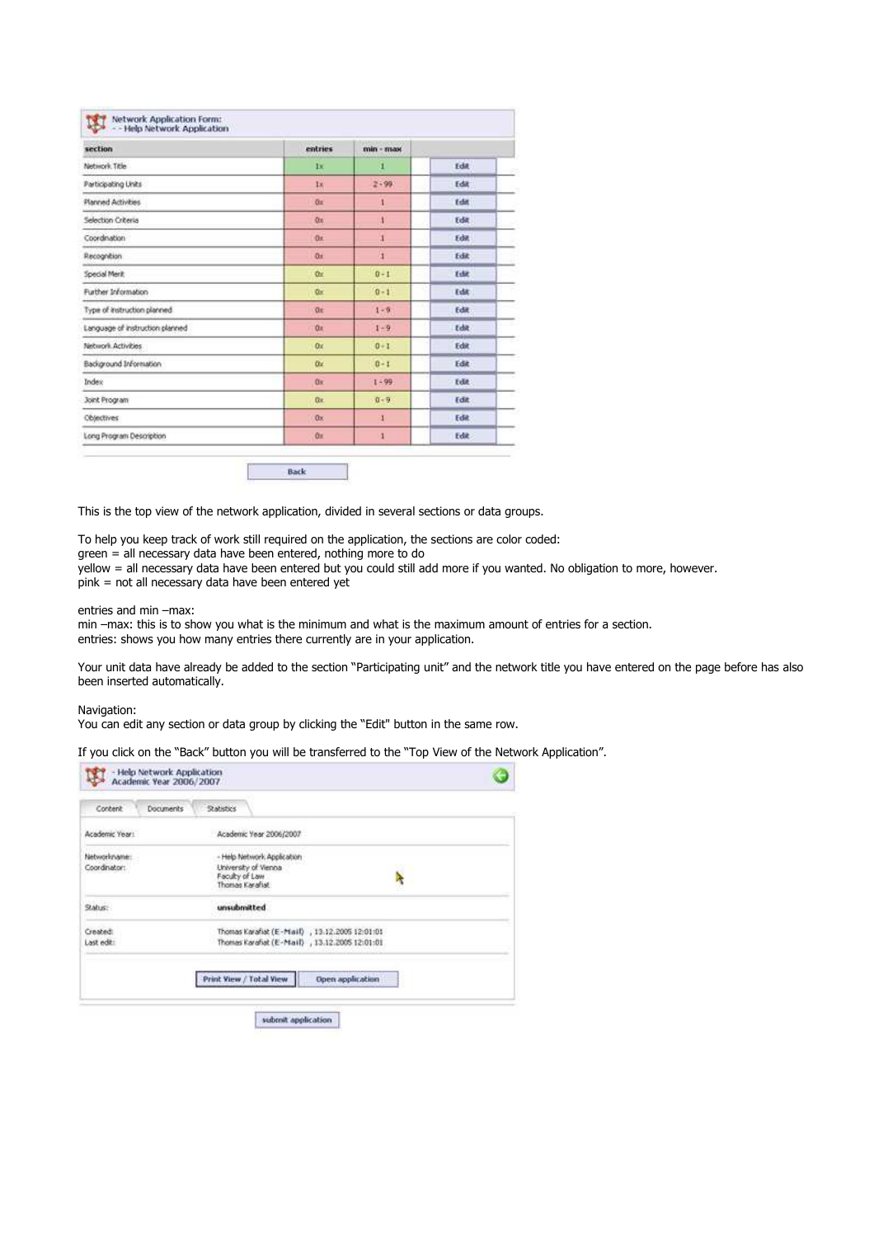| section                         | entries   | $min - max$  |               |
|---------------------------------|-----------|--------------|---------------|
| Network Title                   | 1x        | П            | Fdat          |
| Participating Units             | 18.       | $2 - 99$     | Edit          |
| Planned Activities              | Ox.       | 4            | <b>Edit</b>   |
| Selection Criteria              | Ox.       | 4            | <b>Edit</b>   |
| Coordination                    | Or.       | 1            | <b>Fdit</b>   |
| Recognition                     | <b>Ox</b> | h,           | Edit          |
| Special Merit                   | Ox.       | $0 - 1$      | <b>Edit</b>   |
| Further Information             | Ox.       | $0 - 1$      | Edit:         |
| Type of instruction planned     | Ōx.       | $1 - 9$      | Edit          |
| Language of instruction planned | Ox:       | $1 - 9$      | Edit.         |
| Network Activities              | Ox.       | $0 - 1$      | Edit          |
| Background Information          | Dx:       | $0 - 1$      | Edit          |
| Index                           | Ox:       | $1 - 99$     | <b>Edit</b> : |
| Joint Program                   | Ok.       | $0 - 9$      | Edit          |
| Objectives                      | Ox:       | 1            | Edit          |
| Long Program Description        | Ox:       | $\mathbf{1}$ | <b>Edit</b>   |

This is the top view of the network application, divided in several sections or data groups.

To help you keep track of work still required on the application, the sections are color coded: green = all necessary data have been entered, nothing more to do

yellow = all necessary data have been entered but you could still add more if you wanted. No obligation to more, however.  $\mu$ ink = not all necessary data have been entered yet

#### entries and min –max:

min –max: this is to show you what is the minimum and what is the maximum amount of entries for a section. entries: shows you how many entries there currently are in your application.

Your unit data have already be added to the section "Participating unit" and the network title you have entered on the page before has also been inserted automatically.

### Navigation:

You can edit any section or data group by clicking the "Edit" button in the same row.

If you click on the "Back" button you will be transferred to the "Top View of the Network Application".

| - Help Network Application<br>Academic Year 2006/2007 |                                                |                  |
|-------------------------------------------------------|------------------------------------------------|------------------|
| Documents<br>Content                                  | <b>Rations</b>                                 |                  |
| Academic Year:                                        | Academic Year 2006/2007                        |                  |
| Networkname:                                          | - Help Network Application                     |                  |
| Coordinator:                                          | University of Vienna                           |                  |
|                                                       | Faculty of Law<br>Thomas Karafult              |                  |
|                                                       |                                                |                  |
| Status:                                               | unsubmitted                                    |                  |
| Created:                                              | Thomas Karafist (E-Mail) , 13.12.2005 12:01:01 |                  |
| Last edit:                                            | Thomas Karafiat (E-Mail) , 13.12.2005 12:01:01 |                  |
|                                                       | Print View / Total View<br>submit application: | Open application |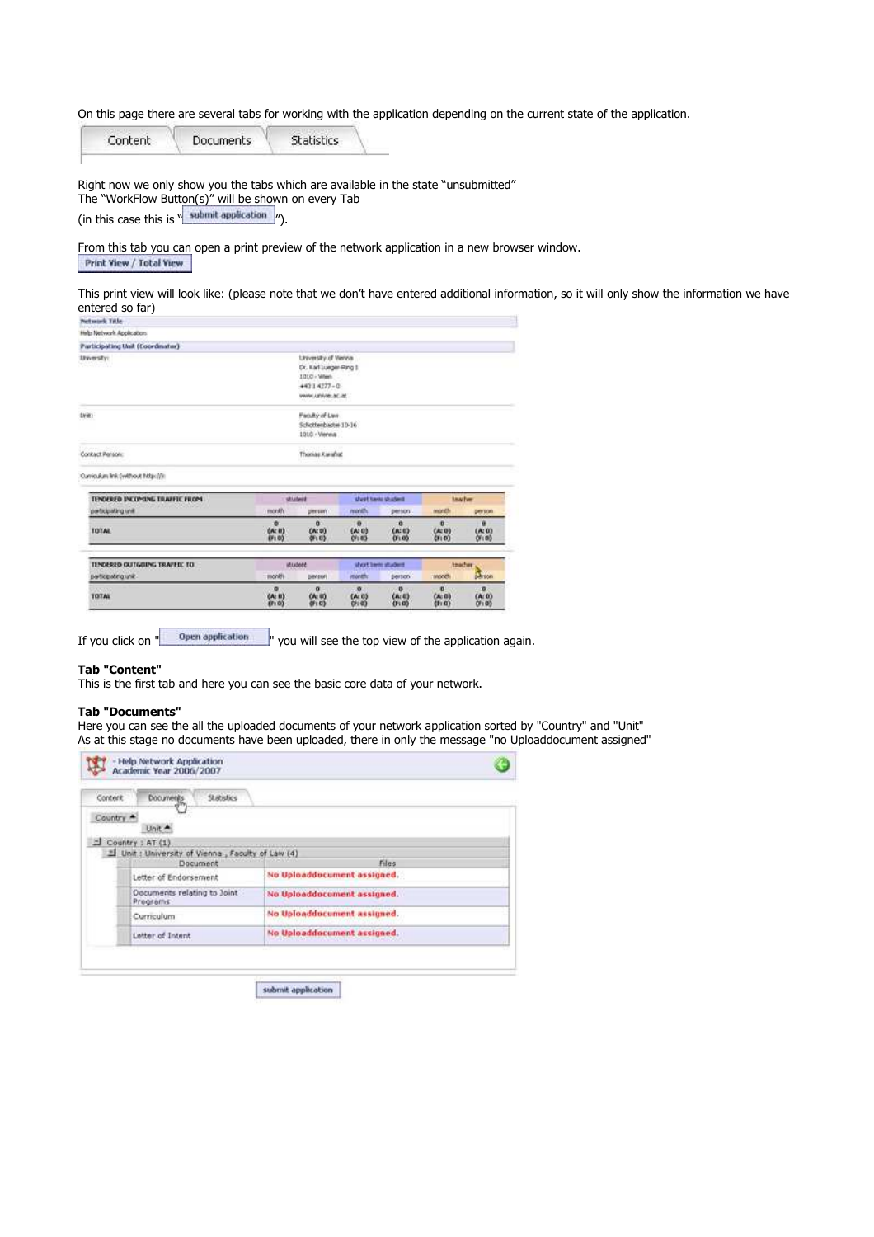On this page there are several tabs for working with the application depending on the current state of the application.

Content **Documents Statistics** 

Right now we only show you the tabs which are available in the state "unsubmitted" The "WorkFlow Button(s)" will be shown on every Tab (in this case this is  $"\overline{\phantom{a}}\phantom{a}\textrm{submit application}\phantom{a}\gamma$ .

From this tab you can open a print preview of the network application in a new browser window. Print View / Total View

This print view will look like: (please note that we don't have entered additional information, so it will only show the information we have entered so far)

| <b>Network Title</b>             |                           |                                                                                                     |                                 |                            |                                       |                           |
|----------------------------------|---------------------------|-----------------------------------------------------------------------------------------------------|---------------------------------|----------------------------|---------------------------------------|---------------------------|
| Help Network Application.        |                           |                                                                                                     |                                 |                            |                                       |                           |
| Participating Unit (Coordinator) |                           | <b>MARINE MARY PRODUCT</b>                                                                          |                                 |                            |                                       |                           |
| <b>Linesty</b>                   |                           | University of Vienna<br>Dr. Karl Lunger-Ring 1<br>1010 - Wan<br>$+4314277 - 0$<br>WANN UPAGE JEC 24 |                                 |                            |                                       |                           |
| (JVW)                            |                           | Faculty of Law<br>Schottenbaster 10-16<br>1010 - Vienna                                             |                                 |                            |                                       |                           |
|                                  |                           |                                                                                                     |                                 |                            |                                       |                           |
| Contact Person:                  |                           | Thomas Karahat                                                                                      |                                 |                            |                                       |                           |
| Quyiculum Ink (without http://): |                           |                                                                                                     |                                 |                            |                                       |                           |
| TENDERED INCOMING TRAFFIC FROM   |                           | duters                                                                                              |                                 | short have shident         |                                       | teacher                   |
| participating unit               | month                     | percon                                                                                              | nonth.                          | person.                    | north                                 | person                    |
| <b>TOTAL</b>                     | ۰<br>$(n; 0)$<br>$(0; 0)$ | n.<br>$(A; 0)$<br>$(I; 0)$                                                                          | $\bullet$<br>$(4:0)$<br>$(7:0)$ | ā<br>$\frac{(A:0)}{(1:0)}$ | $\mathbf{a}$<br>$\frac{(A:0)}{(f:0)}$ | ٠<br>$(A; 0)$<br>$(f; 0)$ |
| TENDESED OUTGOING TRAFFIC TO     |                           | utsident                                                                                            |                                 | short been student         | teacher                               |                           |
| perficipating unit.              | month                     | <b>Benson</b>                                                                                       | <b>itionative</b>               | person.                    | World)                                | de son                    |

If you click on " <sup>Open application</sup> you will see the top view of the application again.

## **Tab "Content"**

This is the first tab and here you can see the basic core data of your network.

## **Tab "Documents"**

Here you can see the all the uploaded documents of your network application sorted by "Country" and "Unit" As at this stage no documents have been uploaded, there in only the message "no Uploaddocument assigned"

| Content | <b>Documents</b><br><b>Stabistics</b>                         |                                 |  |
|---------|---------------------------------------------------------------|---------------------------------|--|
| Country | Unit A                                                        |                                 |  |
|         | Country : AT (1)                                              | contract the first property and |  |
|         | 의 Unit : University of Vienna, Faculty of Law (4)<br>Document | Files                           |  |
|         | Letter of Endorsement                                         | No Uploaddocument assigned.     |  |
|         | Documents relating to Joint<br>Programs                       | No Uploaddocument assigned.     |  |
|         | Curriculum                                                    | No Uploaddocument assigned.     |  |
|         | Letter of Intent                                              | No Uploaddocument assigned.     |  |

submit application